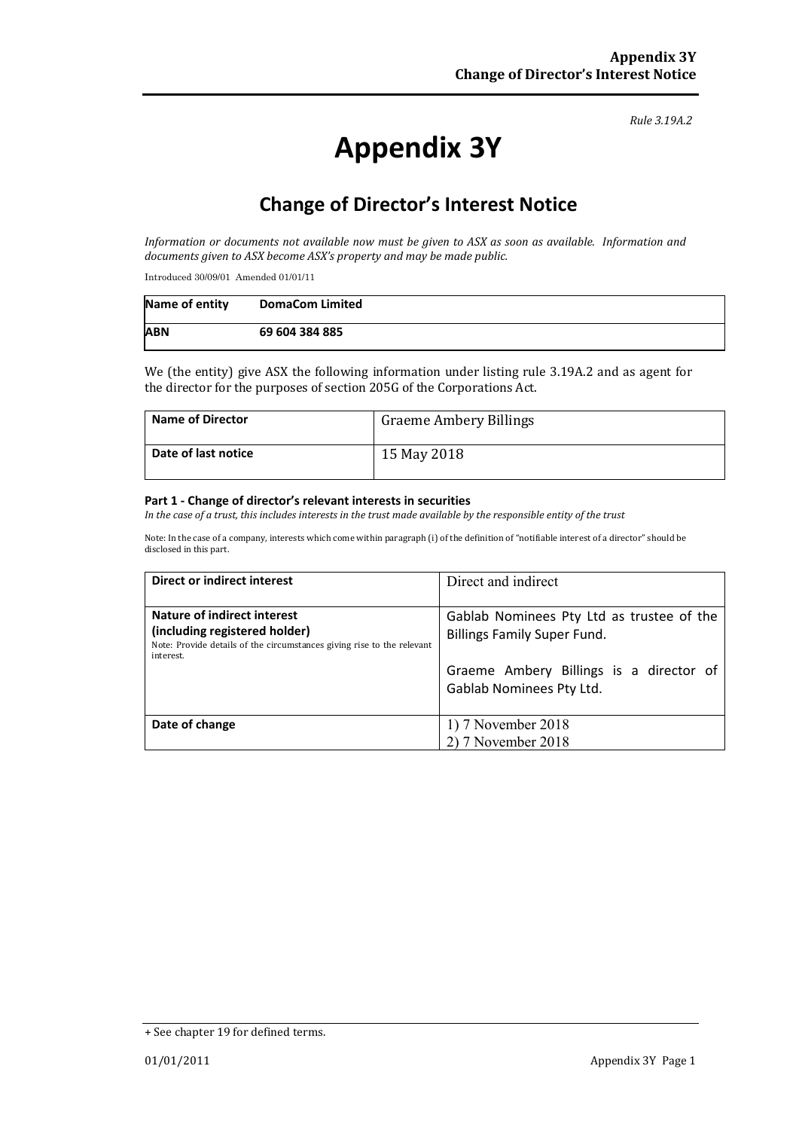#### *Rule 3.19A.2*

# **Appendix 3Y**

# **Change of Director's Interest Notice**

*Information or documents not available now must be given to ASX as soon as available. Information and documents given to ASX become ASX's property and may be made public.*

Introduced 30/09/01 Amended 01/01/11

| Name of entity | <b>DomaCom Limited</b> |
|----------------|------------------------|
| <b>ABN</b>     | 69 604 384 885         |

We (the entity) give ASX the following information under listing rule 3.19A.2 and as agent for the director for the purposes of section 205G of the Corporations Act.

| <b>Name of Director</b> | <b>Graeme Ambery Billings</b> |
|-------------------------|-------------------------------|
| Date of last notice     | 15 May 2018                   |

#### **Part 1 - Change of director's relevant interests in securities**

*In the case of a trust, this includes interests in the trust made available by the responsible entity of the trust*

Note: In the case of a company, interests which come within paragraph (i) of the definition of "notifiable interest of a director" should be disclosed in this part.

| Direct or indirect interest                                                                                                                                | Direct and indirect                                                                                                                                    |  |
|------------------------------------------------------------------------------------------------------------------------------------------------------------|--------------------------------------------------------------------------------------------------------------------------------------------------------|--|
| <b>Nature of indirect interest</b><br>(including registered holder)<br>Note: Provide details of the circumstances giving rise to the relevant<br>interest. | Gablab Nominees Pty Ltd as trustee of the<br><b>Billings Family Super Fund.</b><br>Graeme Ambery Billings is a director of<br>Gablab Nominees Pty Ltd. |  |
| Date of change                                                                                                                                             | 1) 7 November 2018<br>2) 7 November 2018                                                                                                               |  |

<sup>+</sup> See chapter 19 for defined terms.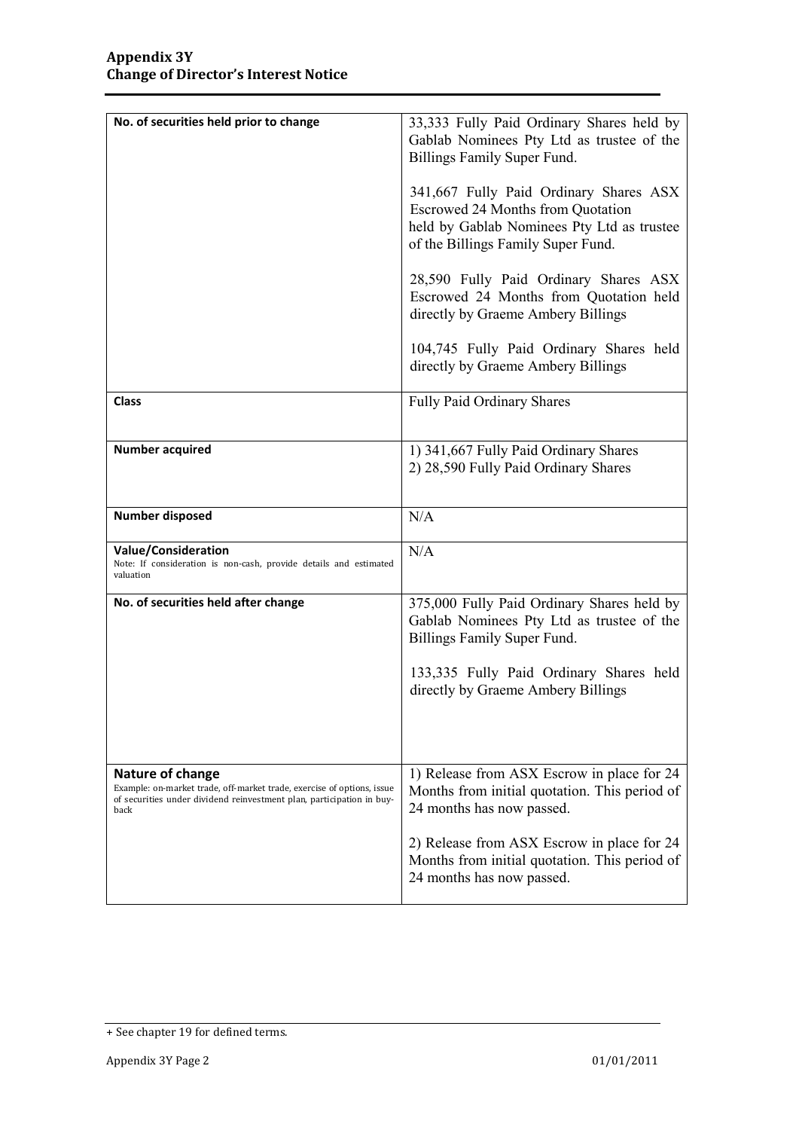| No. of securities held prior to change                                                                                                                                             | 33,333 Fully Paid Ordinary Shares held by<br>Gablab Nominees Pty Ltd as trustee of the<br>Billings Family Super Fund.<br>341,667 Fully Paid Ordinary Shares ASX<br><b>Escrowed 24 Months from Quotation</b><br>held by Gablab Nominees Pty Ltd as trustee<br>of the Billings Family Super Fund.<br>28,590 Fully Paid Ordinary Shares ASX<br>Escrowed 24 Months from Quotation held<br>directly by Graeme Ambery Billings<br>104,745 Fully Paid Ordinary Shares held |
|------------------------------------------------------------------------------------------------------------------------------------------------------------------------------------|---------------------------------------------------------------------------------------------------------------------------------------------------------------------------------------------------------------------------------------------------------------------------------------------------------------------------------------------------------------------------------------------------------------------------------------------------------------------|
| <b>Class</b>                                                                                                                                                                       | directly by Graeme Ambery Billings<br>Fully Paid Ordinary Shares                                                                                                                                                                                                                                                                                                                                                                                                    |
|                                                                                                                                                                                    |                                                                                                                                                                                                                                                                                                                                                                                                                                                                     |
| <b>Number acquired</b>                                                                                                                                                             | 1) 341,667 Fully Paid Ordinary Shares<br>2) 28,590 Fully Paid Ordinary Shares                                                                                                                                                                                                                                                                                                                                                                                       |
| <b>Number disposed</b>                                                                                                                                                             | N/A                                                                                                                                                                                                                                                                                                                                                                                                                                                                 |
| Value/Consideration<br>Note: If consideration is non-cash, provide details and estimated<br>valuation                                                                              | N/A                                                                                                                                                                                                                                                                                                                                                                                                                                                                 |
| No. of securities held after change                                                                                                                                                | 375,000 Fully Paid Ordinary Shares held by<br>Gablab Nominees Pty Ltd as trustee of the<br>Billings Family Super Fund.<br>133,335 Fully Paid Ordinary Shares held<br>directly by Graeme Ambery Billings                                                                                                                                                                                                                                                             |
| <b>Nature of change</b><br>Example: on-market trade, off-market trade, exercise of options, issue<br>of securities under dividend reinvestment plan, participation in buy-<br>back | 1) Release from ASX Escrow in place for 24<br>Months from initial quotation. This period of<br>24 months has now passed.<br>2) Release from ASX Escrow in place for 24<br>Months from initial quotation. This period of<br>24 months has now passed.                                                                                                                                                                                                                |

<sup>+</sup> See chapter 19 for defined terms.